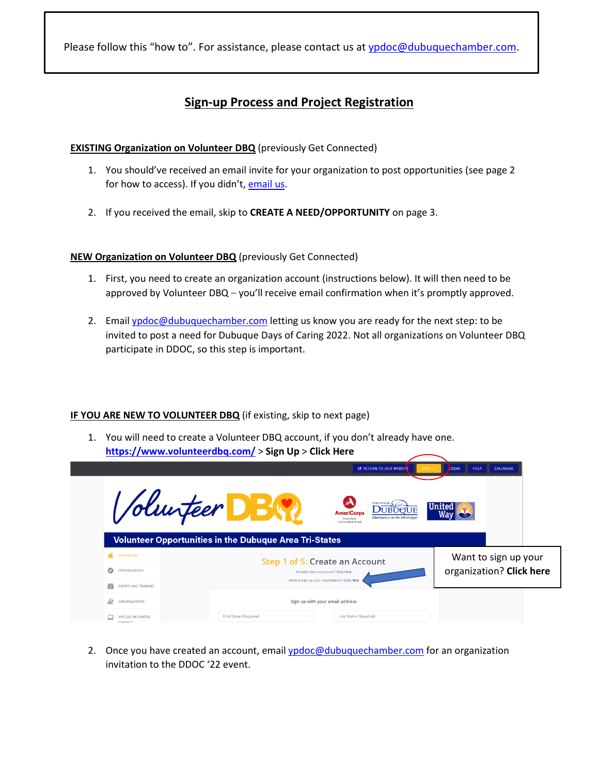Please follow this "how to". For assistance, please contact us a[t ypdoc@dubuquechamber.com.](mailto:ypdoc@dubuquechamber.com)

# **Sign-up Process and Project Registration**

## **EXISTING Organization on Volunteer DBQ** (previously Get Connected)

- 1. You should've received an email invite for your organization to post opportunities (see page 2 for how to access). If you didn't, [email us.](mailto:ypdoc@dubuquechamber.com?subject=Invite%20to%20DDOC%20)
- 2. If you received the email, skip to **CREATE A NEED/OPPORTUNITY** on page 3.

## **NEW Organization on Volunteer DBQ** (previously Get Connected)

- 1. First, you need to create an organization account (instructions below). It will then need to be approved by Volunteer DBQ – you'll receive email confirmation when it's promptly approved.
- 2. Email [ypdoc@dubuquechamber.com](mailto:ypdoc@dubuquechamber.com) letting us know you are ready for the next step: to be invited to post a need for Dubuque Days of Caring 2022. Not all organizations on Volunteer DBQ participate in DDOC, so this step is important.

## **IF YOU ARE NEW TO VOLUNTEER DBQ** (if existing, skip to next page)

1. You will need to create a Volunteer DBQ account, if you don't already have one. **<https://www.volunteerdbq.com/>** > **Sign Up** > **Click Here**

|                                      | <b>EXAMPLE RETURN TO OUR WEBSITE</b><br><b>SIGN UP</b><br>LOGIN<br><b>HELP</b><br><b>CALENDAR</b>                                                               |
|--------------------------------------|-----------------------------------------------------------------------------------------------------------------------------------------------------------------|
|                                      | <i>Volunteer</i><br>THE CITY OF<br><b>United</b><br><b>UUBUOUE</b><br><b>AmeriCorps</b><br>Masterpiece on the Mississipp<br>Volunteer<br><b>Generation Fund</b> |
|                                      | <b>Volunteer Opportunities in the Dubuque Area Tri-States</b>                                                                                                   |
| <b>DASHBOARD</b><br>a.               | Want to sign up your<br>Step 1 of 5: Create an Account                                                                                                          |
| $\bullet$<br><b>OPPORTUNITIES</b>    | organization? Click here<br>Already have an account? Click here                                                                                                 |
| 箭<br><b>EVENTS AND TRAINING</b>      | Want to sign up your organization? Click here                                                                                                                   |
| .உ<br>ORGANIZATIONS                  | Sign up with your email address                                                                                                                                 |
| <b>VIRTUAL OR LIMITED</b><br>CONTACT | <b>First Name (Required)</b><br><b>Last Name (Required)</b>                                                                                                     |

2. Once you have created an account, email [ypdoc@dubuquechamber.com](mailto:ypdoc@dubuquechamber.com) for an organization invitation to the DDOC '22 event.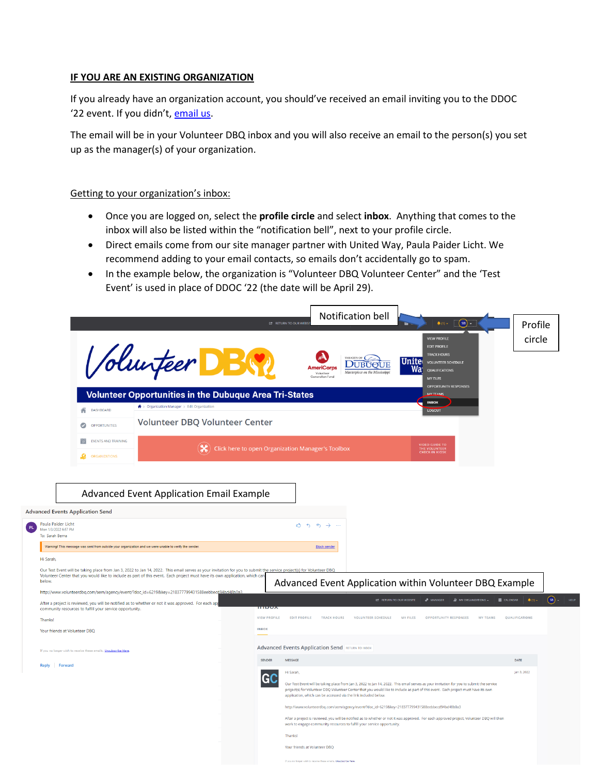#### **IF YOU ARE AN EXISTING ORGANIZATION**

If you already have an organization account, you should've received an email inviting you to the DDOC '22 event. If you didn't, [email us.](mailto:ypdoc@dubuquechamber.com?subject=Invite%20to%20DDOC%20)

The email will be in your Volunteer DBQ inbox and you will also receive an email to the person(s) you set up as the manager(s) of your organization.

#### Getting to your organization's inbox:

- Once you are logged on, select the **profile circle** and select **inbox**. Anything that comes to the inbox will also be listed within the "notification bell", next to your profile circle.
- Direct emails come from our site manager partner with United Way, Paula Paider Licht. We recommend adding to your email contacts, so emails don't accidentally go to spam.
- In the example below, the organization is "Volunteer DBQ Volunteer Center" and the 'Test Event' is used in place of DDOC '22 (the date will be April 29).

|                                                                                                                                                                                                                                                                                                                 |                                                                                                                                                                  |                                                                                                |                     | Notification bell                                                                                                                                                                                                                                                                                                                                             |                                                 |
|-----------------------------------------------------------------------------------------------------------------------------------------------------------------------------------------------------------------------------------------------------------------------------------------------------------------|------------------------------------------------------------------------------------------------------------------------------------------------------------------|------------------------------------------------------------------------------------------------|---------------------|---------------------------------------------------------------------------------------------------------------------------------------------------------------------------------------------------------------------------------------------------------------------------------------------------------------------------------------------------------------|-------------------------------------------------|
|                                                                                                                                                                                                                                                                                                                 |                                                                                                                                                                  |                                                                                                |                     | $(sB)$ .<br>$\triangleq$ (1) $+$<br><b>E</b> RETURN TO OUR WEBS                                                                                                                                                                                                                                                                                               | Profile                                         |
|                                                                                                                                                                                                                                                                                                                 |                                                                                                                                                                  |                                                                                                |                     | <b>VIEW PROFILE</b><br><b>EDIT PROFILE</b>                                                                                                                                                                                                                                                                                                                    | circle                                          |
|                                                                                                                                                                                                                                                                                                                 |                                                                                                                                                                  | Soluiteer DB<br><b>Volunteer Opportunities in the Dubuque Area Tri-States</b>                  |                     | <b>TRACK HOURS</b><br>THE CITY OF $\mathsf{C}$<br><b>Unite voluntEER SCHEDULE</b><br><b>DUBUOUE</b><br><b>AmeriCorps</b><br>Wai<br>QUALIFICATIONS<br>Masterniece on the Mississin<br>Volunteer<br>oneration Func<br><b>MY FILES</b><br><b>OPPORTUNITY RESPONSES</b><br><b>MY TEAMS</b>                                                                        |                                                 |
|                                                                                                                                                                                                                                                                                                                 | 音<br>DASHBOARD                                                                                                                                                   | <del>1</del> > Organization Manager > Edit Organization                                        |                     | <b>INBOX</b><br><b>LOGOUT</b>                                                                                                                                                                                                                                                                                                                                 |                                                 |
|                                                                                                                                                                                                                                                                                                                 | OPPORTUNITIES<br>$\bullet$                                                                                                                                       | Volunteer DBQ Volunteer Center                                                                 |                     |                                                                                                                                                                                                                                                                                                                                                               |                                                 |
|                                                                                                                                                                                                                                                                                                                 | EVENTS AND TRAINING<br>$\frac{1}{17}$                                                                                                                            |                                                                                                |                     |                                                                                                                                                                                                                                                                                                                                                               |                                                 |
|                                                                                                                                                                                                                                                                                                                 | ORGANIZATIONS                                                                                                                                                    |                                                                                                |                     | <b>VIDEO GUIDE TO</b><br>Click here to open Organization Manager's Toolbox<br>THE VOLUNTEER                                                                                                                                                                                                                                                                   |                                                 |
|                                                                                                                                                                                                                                                                                                                 |                                                                                                                                                                  |                                                                                                |                     |                                                                                                                                                                                                                                                                                                                                                               |                                                 |
|                                                                                                                                                                                                                                                                                                                 |                                                                                                                                                                  |                                                                                                |                     |                                                                                                                                                                                                                                                                                                                                                               |                                                 |
|                                                                                                                                                                                                                                                                                                                 |                                                                                                                                                                  | Advanced Event Application Email Example                                                       |                     |                                                                                                                                                                                                                                                                                                                                                               |                                                 |
|                                                                                                                                                                                                                                                                                                                 | <b>Advanced Events Application Send</b>                                                                                                                          |                                                                                                |                     |                                                                                                                                                                                                                                                                                                                                                               |                                                 |
|                                                                                                                                                                                                                                                                                                                 | Paula Paider Licht<br>Mon 1/3/2022 6:57 PM<br>To: Sarah Berna                                                                                                    |                                                                                                |                     | $\sim$<br>$\leftarrow$<br>$\leftrightarrow$                                                                                                                                                                                                                                                                                                                   |                                                 |
|                                                                                                                                                                                                                                                                                                                 | Warning! This message was sent from outside your organization and we were unable to verify the sender.                                                           |                                                                                                |                     | <b>Block sender</b>                                                                                                                                                                                                                                                                                                                                           |                                                 |
|                                                                                                                                                                                                                                                                                                                 | Hi Sarah,                                                                                                                                                        |                                                                                                |                     |                                                                                                                                                                                                                                                                                                                                                               |                                                 |
| Our Test Event will be taking place from Jan 3, 2022 to Jan 14, 2022. This email serves as your invitation for you to submit the service project(s) for Volunteer DBQ<br>Volunteer Center that you would like to include as part of this event. Each project must have its own application, which can<br>below. |                                                                                                                                                                  |                                                                                                |                     |                                                                                                                                                                                                                                                                                                                                                               |                                                 |
|                                                                                                                                                                                                                                                                                                                 |                                                                                                                                                                  | http://www.volunteerdbq.com/aem/agency/event/?doc_id=6219&key=218377799431588eebbecd94bd48b0a3 |                     | Advanced Event Application within Volunteer DBQ Example                                                                                                                                                                                                                                                                                                       |                                                 |
|                                                                                                                                                                                                                                                                                                                 | After a project is reviewed, you will be notified as to whether or not it was approved. For each app<br>community resources to fulfill your service opportunity. |                                                                                                | mpoz                | <b>CONTROL TO OUR WEBSITE</b><br>d <sup>0</sup> MANAGER<br>$\Omega$ MY ORGANIZATIONS $\sim$                                                                                                                                                                                                                                                                   | $(\mathbf{a})$<br><b>E CALENDAR</b><br>$A(1) -$ |
|                                                                                                                                                                                                                                                                                                                 | <b>Thanks!</b>                                                                                                                                                   |                                                                                                | <b>VIEW PROFILE</b> | <b>EDIT PROFILE</b><br><b>TRACK HOURS</b><br><b>VOLUNTEER SCHEDULE</b><br>MY FILES<br><b>OPPORTUNITY RESPONSES</b><br><b>MY TEAMS</b>                                                                                                                                                                                                                         | QUALIFICATIONS                                  |
|                                                                                                                                                                                                                                                                                                                 | Your friends at Volunteer DBQ                                                                                                                                    |                                                                                                | <b>INBOX</b>        |                                                                                                                                                                                                                                                                                                                                                               |                                                 |
|                                                                                                                                                                                                                                                                                                                 | If you no longer wish to receive these emails, Unsubscribe Here                                                                                                  |                                                                                                |                     | <b>Advanced Events Application Send RETURN TO INBOX</b>                                                                                                                                                                                                                                                                                                       |                                                 |
|                                                                                                                                                                                                                                                                                                                 | <b>Reply</b><br>Forward                                                                                                                                          |                                                                                                | <b>SENDER</b>       | MESSAGE                                                                                                                                                                                                                                                                                                                                                       | DATE                                            |
|                                                                                                                                                                                                                                                                                                                 |                                                                                                                                                                  |                                                                                                | GC                  | HI Sarah,<br>Our Test Event will be taking place from Jan 3, 2022 to Jan 14, 2022. This email serves as your invitation for you to submit the service<br>project(s) for Volunteer DBQ Volunteer Center that you would like to include as part of this event. Each project must have its own<br>application, which can be accessed via the link included below | lan 3, 2022                                     |
|                                                                                                                                                                                                                                                                                                                 |                                                                                                                                                                  |                                                                                                |                     | http://www.volunteerdbq.com/aem/agency/event/?doc_id=6219&key=218377799431588eebbecd94bd48b0a3                                                                                                                                                                                                                                                                |                                                 |
|                                                                                                                                                                                                                                                                                                                 |                                                                                                                                                                  |                                                                                                |                     | After a project is reviewed, you will be notified as to whether or not it was approved. For each approved project, Volunteer DBQ will then<br>work to engage community resources to fulfill your service opportunity.                                                                                                                                         |                                                 |
|                                                                                                                                                                                                                                                                                                                 |                                                                                                                                                                  |                                                                                                |                     | Thanks                                                                                                                                                                                                                                                                                                                                                        |                                                 |
|                                                                                                                                                                                                                                                                                                                 |                                                                                                                                                                  |                                                                                                |                     | Your friends at Volunteer DBQ                                                                                                                                                                                                                                                                                                                                 |                                                 |
|                                                                                                                                                                                                                                                                                                                 |                                                                                                                                                                  |                                                                                                |                     | If you no longer wish to receive these emails. Unsubscribe Hen-                                                                                                                                                                                                                                                                                               |                                                 |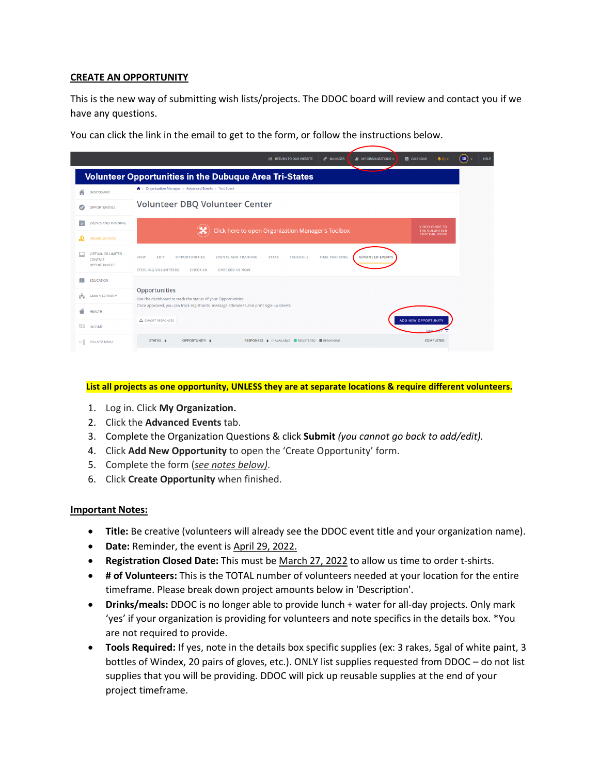## **CREATE AN OPPORTUNITY**

This is the new way of submitting wish lists/projects. The DDOC board will review and contact you if we have any questions.

You can click the link in the email to get to the form, or follow the instructions below.

|                                                              | a <sup>p</sup> MANAGER<br><b>22 MY ORGANIZATIONS -</b><br><b>ED</b> CALENDAR<br>$\clubsuit$ (1) $\triangleright$<br><b>EX RETURN TO OUR WEBSITE</b>                                                                                             | $(sB) -$<br><b>HELP</b> |
|--------------------------------------------------------------|-------------------------------------------------------------------------------------------------------------------------------------------------------------------------------------------------------------------------------------------------|-------------------------|
|                                                              | <b>Volunteer Opportunities in the Dubuque Area Tri-States</b>                                                                                                                                                                                   |                         |
| <b>DASHBOARD</b>                                             | $\bigstar$ > Organization Manager > Advanced Events > Test Event                                                                                                                                                                                |                         |
| <b>OPPORTUNITIES</b>                                         | Volunteer DBQ Volunteer Center                                                                                                                                                                                                                  |                         |
| ΪP<br><b>EVENTS AND TRAINING</b>                             | <b>VIDEO GUIDE TO</b><br>Click here to open Organization Manager's Toolbox<br>THE VOLUNTEER                                                                                                                                                     |                         |
| <b>ORGANIZATIONS</b>                                         | <b>CHECK-IN KIOSK</b>                                                                                                                                                                                                                           |                         |
| <b>VIRTUAL OR LIMITED</b><br>CONTACT<br><b>OPPORTUNITIES</b> | <b>ADVANCED EVENTS</b><br><b>VIEW</b><br><b>SCHEDULE</b><br><b>TIME TRACKING</b><br><b>OPPORTUNITIES</b><br><b>EVENTS AND TRAINING</b><br><b>STATS</b><br><b>EDIT</b><br><b>STERLING VOLUNTEERS</b><br><b>CHECK-IN</b><br><b>CHECKED IN NOW</b> |                         |
| <b>EDUCATION</b>                                             |                                                                                                                                                                                                                                                 |                         |
| <b>FAMILY FRIENDLY</b><br>494                                | Opportunities<br>Use the dashboard to track the status of your Opportunities.                                                                                                                                                                   |                         |
| š<br><b>HEALTH</b>                                           | Once approved, you can track registrants, message attendees and print sign-up sheets.                                                                                                                                                           |                         |
| $\circ$<br><b>INCOME</b>                                     | <b>ADD NEW OPPORTUNITY</b><br>EXPORT RESPONSES                                                                                                                                                                                                  |                         |
| <b>COLLAPSE MENU</b><br>$\leftarrow$                         | STATUS $\div$<br>OPPORTUNITY $\div$<br><b>COMPLETED</b><br>RESPONSES $\triangleq$ AVAILABLE REGISTERED REMAINING                                                                                                                                |                         |

#### **List all projects as one opportunity, UNLESS they are at separate locations & require different volunteers.**

- 1. Log in. Click **My Organization.**
- 2. Click the **Advanced Events** tab.
- 3. Complete the Organization Questions & click **Submit** *(you cannot go back to add/edit).*
- 4. Click **Add New Opportunity** to open the 'Create Opportunity' form.
- 5. Complete the form (*see notes below)*.
- 6. Click **Create Opportunity** when finished.

## **Important Notes:**

- **Title:** Be creative (volunteers will already see the DDOC event title and your organization name).
- **Date:** Reminder, the event is April 29, 2022.
- **Registration Closed Date:** This must be March 27, 2022 to allow us time to order t-shirts.
- **# of Volunteers:** This is the TOTAL number of volunteers needed at your location for the entire timeframe. Please break down project amounts below in 'Description'.
- **Drinks/meals:** DDOC is no longer able to provide lunch + water for all-day projects. Only mark 'yes' if your organization is providing for volunteers and note specifics in the details box. \*You are not required to provide.
- **Tools Required:** If yes, note in the details box specific supplies (ex: 3 rakes, 5gal of white paint, 3 bottles of Windex, 20 pairs of gloves, etc.). ONLY list supplies requested from DDOC – do not list supplies that you will be providing. DDOC will pick up reusable supplies at the end of your project timeframe.